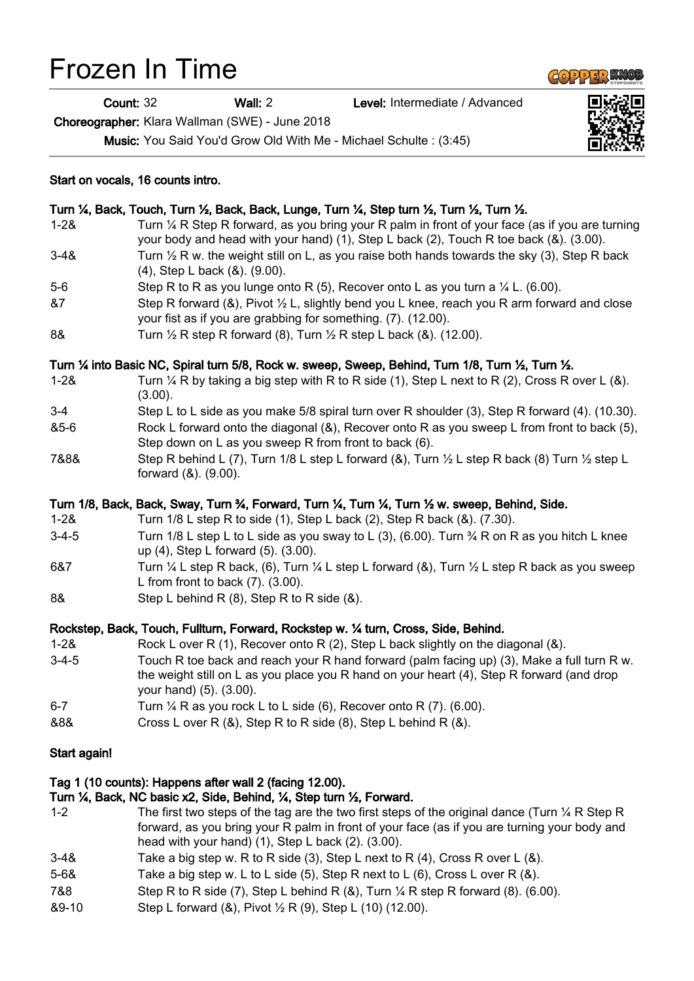# Frozen In Time

Count: 32 Wall: 2 Level: Intermediate / Advanced

Choreographer: Klara Wallman (SWE) - June 2018

Music: You Said You'd Grow Old With Me - Michael Schulte : (3:45)



- 
- 1-2& Rock L over R (1), Recover onto R (2), Step L back slightly on the diagonal (&). 3-4-5 Touch R toe back and reach your R hand forward (palm facing up) (3), Make a full turn R w. the weight still on L as you place you R hand on your heart (4), Step R forward (and drop your hand) (5). (3.00).
- 6-7 Turn  $\frac{1}{4}$  R as you rock L to L side (6), Recover onto R (7). (6.00).
- &8& Cross L over R (&), Step R to R side (8), Step L behind R (&).

## Start again!

# Tag 1 (10 counts): Happens after wall 2 (facing 12.00).

# Turn ¼, Back, NC basic x2, Side, Behind, ¼, Step turn ½, Forward.

- 1-2 The first two steps of the tag are the two first steps of the original dance (Turn  $\frac{1}{4}$  R Step R forward, as you bring your R palm in front of your face (as if you are turning your body and head with your hand) (1), Step L back (2). (3.00).
- 3-4& Take a big step w. R to R side (3), Step L next to R  $(4)$ , Cross R over L  $(8)$ .
- 5-6& Take a big step w. L to L side (5), Step R next to L (6), Cross L over R (&).
- 7&8 Step R to R side (7), Step L behind R (&), Turn ¼ R step R forward (8). (6.00).
- &9-10 Step L forward (&), Pivot ½ R (9), Step L (10) (12.00).